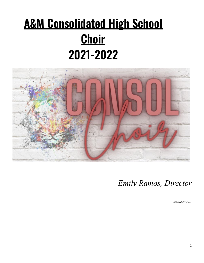# **A&M Consolidated High School Choir 2021-2022**



*Emily Ramos, Director*

*Updated 8/19/21.*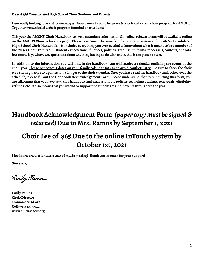**Dear A&M Consolidated High School Choir Students and Parents:**

I am really looking forward to working with each one of you to help create a rich and varied choir program for AMCHS! **Together we can build a choir program founded on excellence!**

This year the AMCHS Choir Handbook, as well as student information & medical release forms will be available online on the AMCHS Choir Schoology page. Please take time to become familiar with the contents of the A&M Consolidated High School Choir Handbook. It includes everything you ever needed to know about what it means to be a member of the "Tiger Choir Family" --- student expectations, finances, policies, grading, uniforms, rehearsals, contests, and lots, lots more. If you have any questions about anything having to do with choir, this is the place to start.

In addition to the information you will find in the handbook, you will receive a calendar outlining the events of the choir year. Please put concert dates on your family calendar EARLY to avoid conflicts later. Be sure to check the choir web site regularly for updates and changes to the choir calendar. Once you have read the handbook and looked over the **schedule, please fill out the Handbook Acknowledgement Form. Please understand that by submitting this form, you** are affirming that you have read this handbook and understand its policies regarding grading, rehearsals, eligibility, **refunds, etc.It also means that you intend to support the students at Choir events throughout the year.**

# **Handbook Acknowledgment Form** *(papercopymust besigned & returned)***Due to Mrs. Ramos by September 1, 2021**

## **Choir Fee of \$65 Due to the online InTouch system by October 1st, 2021**

**Ilook forward to a fantastic year of music making! Thank you so much for your support!**

**Sincerely,**

Emily Ramos

**Emily Ramos Choir Director eramos@csisd.org Cell: (713) 303-3922 www.amchschoir.org**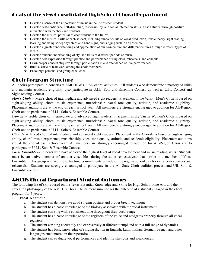### Goals of the A&M Consolidated High School Choral Department

- ❖ Develop a sense of the importance of music in the life of each student.
- ❖ Develop self-confidence, self-discipline, responsibility, and social interaction skills in each student through positive interaction with teachers and students.
- ❖ Develop the musical potential of each student to the fullest.
- ❖ Develop the musical skills of each student, including fundamentals of vocal production, music theory, sight reading, learning and using solfege syllables and hand signs, and singing well in an ensemble.
- ❖ Develop a greater understanding and appreciation of our own culture and different cultures through different types of music.
- ❖ Develop student understanding of stylistic traits of different periods of music.
- ❖ Develop self-expression through practice and performance during class, rehearsals, and concerts.
- ❖ Learn proper concert etiquette through participation in and attendance of live performances.
- ❖ Build a sense of teamwork among the choir members.
- ❖ Encourage personal and group excellence.

### Choir Program Structure

All choirs participate in concerts at AMCHS & CSISD choral activities. All students who demonstrate a mastery of skills and maintain academic eligibility also participate in U.I.L. Solo and Ensemble Contest, as well as U.I.L.Concert and Sight-reading Contest.

*Men's Choir* -- Men's choir of intermediate and advanced sight readers. Placement in the Varsity Men's Choir is based on sight-singing ability, choral music experience, musicianship, vocal tone quality, attitude, and academic eligibility. Placement auditions are at the end of each school year. All members are strongly encouraged to audition for All-Region Choir and to participate in U.I.L. Solo & Ensemble Contest.

*Women* -- Treble choir of intermediate and advanced sight readers. Placement in the Varsity Women's Choir is based on sight-singing ability, choral music experience, musicianship, vocal tone quality, attitude, and academic eligibility. Placement auditions are at the end of each school year. All members are strongly encouraged to audition for All-Region Choir and to participate in U.I.L. Solo & Ensemble Contest.

*Chorale* -- Mixed choir of intermediate and advanced sight readers. Placement in the Chorale is based on sight-singing ability, choral music experience, musicianship, vocal tone quality, attitude, and academic eligibility. Placement auditions are at the end of each school year. All members are strongly encouraged to audition for All-Region Choir and to participate in U.I.L. Solo & Ensemble Contest.

*Vocal Ensemble* -- Students who have achieved the highest level of vocal development and music reading skills. Students must be an active member of another ensemble during the same semester/year that he/she is a member of Vocal Ensemble. This group will require extra time commitments outside of the regular school day for extra performances and rehearsals. Students are strongly encouraged to participate in the All State Choir audition process and UIL Solo  $\&$ Ensemble contest.

### AMCHS Choral Department Student Outcomes

The following list of skills based on the Texas Essential Knowledge and Skills for High School Fine Arts and the education philosophy of the AMCHS Choral Department summarizes the outcome of a student engaged in the choral program for 4 years:

### **1. Vocal Technique**

- a. The student can demonstrate good singing posture and proper breath technique.
- b. The student has a basic knowledge of the biology associated with the vocal instrument.
- c. The student can sing with a consistent tone throughout their vocal range.
- d. The student has a basic knowledge of the registers of the voice and navigates properly through all vocal registers.
- e. The student can sing accurately and expressively at different tempi and with a full range of dynamics.
- f. The student has basic knowledge of singing diction in English, Latin, Italian, German, French and other languages encountered in the repertoire.
- g. The student can evaluate vocal performances and identify strengths and weaknesses.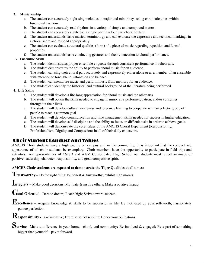### **2. Musicianship**

- a. The student can accurately sight-sing melodies in major and minor keys using chromatic tones within functional harmony.
- b. The student can accurately read rhythms in a variety of simple and compound meters.
- c. The student can accurately sight-read a single part in a four part choral texture.
- d. The student understands basic musical terminology and can evaluate the expressive and technical markings in a choral score and respond appropriately.
- e. The student can evaluate structural qualities (form) of a piece of music regarding repetition and formal properties.
- f. The student understands basic conducting gestures and their connection to choral performance.

### **3. Ensemble Skills**

- a. The student demonstrates proper ensemble etiquette through consistent performance in rehearsals.
- b. The student demonstrates the ability to perform choral music for an audience.
- c. The student can sing their choral part accurately and expressively either alone or as a member of an ensemble with attention to tone, blend, intonation and balance.
- d. The student can memorize music and perform music from memory for an audience.
- e. The student can identify the historical and cultural background of the literature being performed.

### **4. Life Skills**

- a. The student will develop a life-long appreciation for choral music and the other arts.
- b. The student will obtain the skills needed to engage in music as a performer, patron, and/or consumer throughout their lives.
- c. The student will develop cultural awareness and tolerance learning to cooperate with an eclectic group of people to reach a common goal.
- d. The student will develop communication and time management skills needed for success in higher education.
- e. The student will develop self-discipline and the ability to focus on difficult tasks in order to achieve goals.
- f. The student will demonstrate the core values of the AMCHS Choral Department (Responsibility, Professionalism, Dignity and Compassion) in all of their daily endeavors.

### Choir Student Conduct and Values

AMCHS Choir students have a high profile on campus and in the community. It is important that the conduct and appearance of all choir students be exemplary. Choir members have the opportunity to participate in field trips and activities. As representatives of CSISD and A&M Consolidated High School our students must reflect an image of positive leadership, character, responsibility, and great competitive spirit.

### **AMCHS Choir students are expected to demonstrate the Tiger Qualities at all times:**

**Trustworthy** – Do the right thing; be honest & trustworthy; exhibit high morals

**Integrity –** Make good decisions; Motivate & inspire others; Make <sup>a</sup> positive impact

**Goal Oriented**– Dare to dream; Reach high; Strive toward success.

**Excellence –** Acquire knowledge & skills to be successful in life; Be motivated by your self-worth; Passionately pursue perfection.

**Responsibility<sup>~</sup>** Take initiative; Exercise self-discipline; Honor your obligations.

Service– Make a difference in your home, school, and community; Be involved & engaged; Be a part of something bigger than yourself – pay it forward.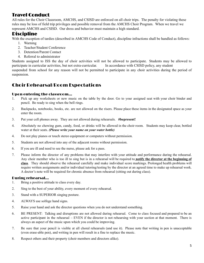### Travel Conduct

All rules for the Choir Classroom, AMCHS, and CSISD are enforced on all choir trips. The penalty for violating these rules may be loss of field trip privileges and possible removal from the AMCHS Choir Program. When we travel we represent AMCHS and CSISD. Our dress and behavior must maintain a high standard.

### Discipline

With the exception of tardies (described in AMCHS Code of Conduct), discipline infractions shall be handled as follows:

- 1. Warning
- 2. Teacher/Student Conference
- 3. Detention/Parent Contact
- 4. Referral to administrator

Students assigned to ISS the day of choir activities will not be allowed to participate. Students may be allowed to participate in curricular activities, but not extra-curricular. In accordance with CSISD policy, any student suspended from school for any reason will not be permitted to participate in any choir activities during the period of suspension.

### Choir Rehearsal/Room Expectations

### Upon entering the classroom…

- 1. Pick up any worksheets or new music on the table by the door. Go to your assigned seat with your choir binder and pencil. Be ready to sing when the bell rings.
- 2. Backpacks, notebooks, books, etc. are not allowed on the risers. Please place these items in the designated space as your enter the room.
- 3. Put your cell phones away. They are not allowed during rehearsals. **#bepresent!**
- 4. Absolutely no chewing gum, candy, food, or drinks will be allowed in the choir room. Students may keep clear, bottled water at their seats. *(Please write your name on your water bottle)*
- 4. Do not play pianos or touch stereo equipment or computers without permission.
- 5. Students are not allowed into any of the adjacent rooms without permission.
- 6. If you are ill and need to see the nurse, please ask for a pass.
- 7. Please inform the director of any problems that may interfere with your attitude and performance during the rehearsal. Any choir member who is too ill to sing but is in a rehearsal will be required to **notify the director at the beginning of class**. They should observe the rehearsal carefully and make individual score markings. Prolonged health problems will require written assignments and/or individual tutoring/testing by the director at an agreed time to make up rehearsal work. A doctor's note will be required for chronic absence from rehearsal (sitting out during class).

### During rehearsal…

- 1. Bring a positive attitude to class every day.
- 2. Sing to the best of your ability, every moment of every rehearsal.
- 3. Stand with a SUPERIOR singing posture.
- 4. ALWAYS use solfege hand signs.
- 5. Raise your hand and ask the director questions when you do not understand something.
- 6. BE PRESENT: Talking and disruptions are not allowed during rehearsal. Come to class focused and prepared to be an active participant in the rehearsal – EVEN if the director is not rehearsing with your section at that moment. There is always an aspect of the music upon which you could be improving.
- 7. Be sure that your pencil is visible at all choral rehearsals (and use it). Please note that writing in pen is unacceptable (even erase-able pen), and writing in pen will result in a fine to replace the music.
- 8. Respect others and their property (choir members and directors alike).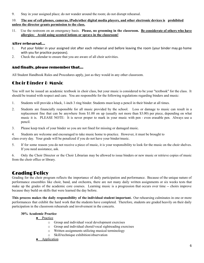9. Stay in your assigned place; do not wander around the room; do not disrupt rehearsal.

#### 10. The use of cell phones, cameras, iPods/other digital media players, and other electronic devices is prohibited **unless the director grants permission to the class.**

11. Use the restroom on an emergency basis. **Please, no grooming in the classroom. Be considerate of others who have allergies: Avoid using scented lotions or sprays in the classroom!**

### After rehearsal…

- 1. Put your folder in your assigned slot after each rehearsal and before leaving the room (your binder may go home with you for practice purposes).
- 2. Check the calendar to ensure that you are aware of all choir activities.

### And finally, please remember that…

All Student Handbook Rules and Procedures apply, just as they would in any other classroom.

### Choir Binder & Music

You will not be issued an academic textbook in choir class, but your music is considered to be your "textbook" for the class. It should be treated with respect and care. You are responsible for the following regulations regarding binders and music:

- 1. Students will provide a black, 1-inch 3 ring binder. Students must keep a pencil in their binder at all times.
- 2. Students are financially responsible for all music provided by the school. Loss or damage to music can result in a replacement fine that can be anywhere from \$1.00 on up (usually not more than \$3.00) per piece, depending on what music it is. PLEASE NOTE: It is never proper to mark in your music with pen - even erasable pen. Always use a pencil.
- 3. Please keep track of your binder so you are not fined for missing or damaged music.

4. Students are welcome and encouraged to take music home to practice. However, it must be brought to class every day. Your grade will be penalized if you do not have your binder/music.

5. If for some reason you do not receive a piece of music, it is your responsibility to look for the music on the choir shelves. If you need assistance, ask.

6. Only the Choir Director or the Choir Librarian may be allowed to issue binders or new music or retrieve copies of music from the choir office or library.

### Grading Policy

Grading for the choir program reflects the importance of daily participation and performance. Because of the unique nature of performance ensembles like choir, band, and orchestra, there are not many daily written assignments or six weeks tests that make up the grades of the academic core courses. Learning music is a progression that occurs over time -- choirs improve because they build on skills that were learned the day before.

**This process makes the daily responsibility of the individual student important.** Our rehearsing culminates in one or more performances that exhibit the hard work that the students have completed. Therefore, students are graded heavily on their daily participation in the classroom rehearsals and involvement in the concerts.

### **30% Academic Practice**

- Practice
	- o Group and individual vocal development exercises
	- o Group and individual choral/vocal sightreading exercises
	- o Written assignments utilizing musical terminology
	- o Skill/technique exhibition/observation
	- **•** Application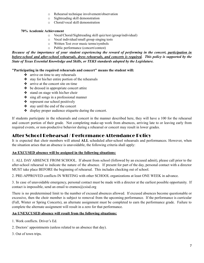- o Rehearsal technique involvement/observation
- o Sightreading skill demonstration
- o Choral/vocal skill demonstration

#### **70% Academic Achievement**

- o Vocal/Choral/Sightreading skill quiz/test (group/individual)
- o Vocal individual/small group singing tests
- o Written Test over music terms/symbols
- o Public performance (concert/contest)

Because of the importance of your student experiencing the reward of performing in the concert, participation in before-school and after-school rehearsals, dress rehearsals, and concerts is required. This policy is supported by the *State of Texas Essential Knowledge and Skills, or TEKS standards adopted by the Legislature.*

### **"Participating in the required rehearsals and concert" means the student will:**

- ❖ arrive on time to any rehearsals
- ❖ stay for his/her entire portion of the rehearsals
- ❖ arrive at the concert site on time
- ❖ be dressed in appropriate concert attire
- ❖ stand on stage with his/her choir
- ❖ sing all songs in a professional manner
- ❖ represent our school positively
- ❖ stay until the end of the concert
- ❖ display proper audience etiquette during the concert.

If students participate in the rehearsals and concert in the manner described here, they will have a 100 for the rehearsal and concert portion of their grade. Not completing make-up work from absences, arriving late to or leaving early from required events, or non-productive behavior during a rehearsal or concert may result in lower grades.

### After School Rehearsal / Performance Attendance Policy

It is expected that choir members will attend **ALL** scheduled after-school rehearsals and performances. However, when the situation arises that an absence is unavoidable, the following criteria shall apply:

### **An EXCUSED absence will be assigned in the following situations:**

1. ALL DAY ABSENCE FROM SCHOOL. If absent from school (followed by an excused admit), please call prior to the after-school rehearsal to indicate the nature of the absence. If present for part of the day, personal contact with a director MUST take place BEFORE the beginning of rehearsal. This includes checking out of school.

2. PRE-APPROVED conflicts IN WRITING with other SCHOOL organizations at least ONE WEEK in advance.

3. In case of unavoidable emergency, personal contact must be made with a director at the earliest possible opportunity. If contact is impossible, send an email to eramos $@csisd.org$ 

There is no predetermined limit to the number of excused absences allowed. If excused absences become questionable or excessive, then the choir member is subject to removal from the upcoming performance. If the performance is curricular (Fall, Winter or Spring Concerts), an alternate assignment must be completed to earn the performance grade. Failure to complete the alternate assignment will result in a zero for that performance.

### **An UNEXCUSED absence will result from the following situations:**

- 1. Work conflicts. Driver's Ed.
- 2. Doctors' appointments (unless related to an absence that day).
- 3. Out of town trips.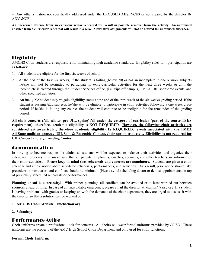4. Any other situation not specifically addressed under the EXCUSED ABSENCES or not cleared by the director IN ADVANCE.

An unexcused absence from an extra-curricular rehearsal will result in possible removal from the activity. An unexcused absence from a curricular rehearsal will result in a zero. Alternative assignments will not be offered for unexcused absences.

### **Eligibility**

AMCHS Choir students are responsible for maintaining high academic standards. Eligibility rules for participation are as follows:

- 1. All students are eligible for the first six weeks of school.
- 2. At the end of the first six weeks, if the student is failing (below 70) or has an incomplete in one or more subjects he/she will not be permitted to participate in extra-curricular activities for the next three weeks or until the incomplete is cleared through the Student Services office. (i.e. trips off campus, TMEA, UIL sponsored events, and other specified activities.)
- 3. An ineligible student may re-gain eligibility status at the end of the third week of the six weeks grading period. If the student is passing ALL subjects, he/she will be eligible to participate in choir activities following a one week grace period. If he/she is failing any course, the student will continue to be ineligible for the remainder of the grading period.

All choir concerts (fall, winter, pre-UIL, spring) fall under the category of curricular (part of the course TEKS **requirement), therefore, academic eligibility is NOT REQUIRED**. **However, the following choir activities are considered extra-curricular, therefore academic eligibility IS REQUIRED: events associated with the TMEA** All-State audition process, UIL Solo & Ensemble Contest, choir spring trip, etc... Eligibility is not required for **UIL Concert and Sightreading Contest.**

### Communication

In striving to become responsible adults, all students will be expected to balance their activities and organize their calendars. Students must make sure that all parents, employers, coaches, sponsors, and other teachers are informed of their choir activities. **Please keep in mind that rehearsals and concerts are mandatory.** Students are given a choir calendar and ample notice about scheduled rehearsals, performances, and activities. As a result, prior notice should take precedent in most cases and conflicts should be minimal. (Please avoid scheduling doctor or dentist appointments on top of previously scheduled rehearsals or performances

**Planning ahead is a necessity!** With proper planning, all conflicts can be avoided or at least worked out between sponsors ahead of time. In case of an unavoidable eme[rg](mailto:ketheredge@csisd.org)ency, please email the director at: eramos@csisd.org If a student is having problems with grades or keeping up with the demands of the choir department, they are urged to discuss it with the director so that a solution can be worked out.

### **1. AMCHS Choir Website**: **amchschoir.org**

**2. Schoology**

### Performance Attire

Choir uniforms create a professional look for concerts. All choirs will wear formal uniforms provided by CSISD. These uniforms are the property of the AMC High School Choir Department and only used for choir functions.

### **Formal Choir Uniform:**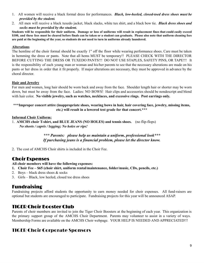- 1. All women will receive a black formal dress for performances. *Black, low-heeled, closed-toed dress shoes must be provided by the student.*
- 2. All men will receive a black tuxedo jacket, black slacks, white tux shirt, and a black bow tie. *Black dress shoes and socks must be provided by the student.*

Students will be responsible for their uniform. Damage or loss of uniforms will result in replacement fines that could easily exceed \$100, and these fees must be cleared before finals can be taken or a student can graduate. Please also note that uniform cleaning fees are paid at the beginning of the year, so students do not need to turn in uniforms already laundered.

### **Alterations**

The hemline of the choir formal should be exactly 1" off the floor while wearing performance shoes. Care must be taken in hemming the dress or pants. Note that all hems MUST be temporary!! PLEASE CHECK WITH THE DIRECTOR BEFORE CUTTING THE DRESS OR TUXEDO PANTS!!! DO NOT USE STAPLES, SAFETY PINS, OR TAPE!!! It is the responsibility of each young man or woman and his/her parents to see that the necessary alterations are made on his pants or her dress in order that it fit properly. If major alterations are necessary, they must be approved in advance by the choral director.

### **Hair and Jewelry**

For men and women, long hair should be worn back and away from the face. Shoulder length hair or shorter may be worn down, but must be away from the face. Ladies: NO BOWS! Hair clips and accessories should be nondescript and blend with hair color. **No visible jewelry, such as watches, necklaces, and excessive rings. Post earrings only.**

### **\*\*\*Improper concert attire (inappropriate shoes, wearing bows in hair, hair covering face, jewelry, missing items, etc.) will result in a lowered test grade for that concert.\*\*\***

### **Informal Choir Uniform:**

1. **AMCHS choir T-shirt, and BLUE JEANS (NO HOLES) and tennis shoes.** (no flip-flops) *No shorts / capris / legging; No holes or rips!*

> *\*\*\* Parents: please help us maintain a uniform, professional look\*\*\* If purchasing jeans is a financial problem, please let the director know.*

2. The cost of AMCHS Choir shirts is included in the Choir Fee.

### Choir Expenses

**All choir members will have the following expenses:**

- **1. Choir Fee – \$65 (choir shirt, uniform rental/maintenance, folder/music, CDs, pencils, etc.)**
- 2. Boys black dress shoes & socks
- 3. Girls Black, low heeled, closed toe dress shoes

### Fundraising

Fundraising projects afford students the opportunity to earn money needed for choir expenses. All fund-raisers are optional but students are encouraged to participate. Fundraising projects for this year will be announced ASAP.

### TIGER Choir Booster Club

Parents of choir members are invited to join the Tiger Choir Boosters at the beginning of each year. This organization is the primary support group of the AMCHS Choir Department. Parents may volunteer to assist in a variety of ways. Membership Forms are available on the AMCHS Choir webpage. YOUR HELP IS NEEDED AND APPRECIATED!!!

### TIGER Choir Corporate Sponsors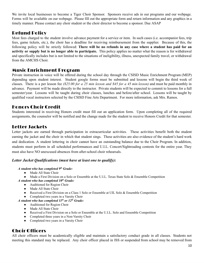We invite local businesses to become a Tiger Choir Sponsor. Sponsors receive ads in our programs and our webpage. Forms will be available on our webpage. Please fill out the appropriate form and return information and any graphics in a timely manner. Please contact any choir student or the choir director to become a sponsor. Due ASAP

### Refund Policy

Most fees charged to the student involve advance payment for a service or item. In such cases (i.e. accompanist fees, trip fees, game tickets, etc.), the choir has a deadline for receiving reimbursement from the supplier. Because of this, the following policy will be strictly followed: **There will be no refunds in any case where a student has paid for an activity or supply but is no longer able to participate.** This policy applies no matter what the reason is for withdrawal and specifically includes but is not limited to the situations of ineligibility, illness, unexpected family travel, or withdrawal from the AMCHS Choir.

### Music Enrichment Program

Private instruction in voice will be offered during the school day through the CSISD Music Enrichment Program (MEP) depending upon student interest. Student google forms must be submitted and lessons will begin the third week of classes. There is a per lesson fee *(\$25.00 for a 25 min lesson and \$45 for a 45 min lesson)* and must be paid monthly in advance. Payment will be made directly to the instructor. Private students will be expected to commit to lessons for a full semester/year. Lessons will be taught during choir classes, lunches and before/after school. Lessons will be taught by qualified vocal instructors selected by the CSISD Fine Arts Department. For more information, ask Mrs. Ramos.

### Honors Choir Credit

Students interested in receiving Honors credit must fill out an application form. Upon completing all of the required assignments, the counselor will be notified and the change made for the student to receive Honors Credit for that semester.

### Letter Jackets

Letter jackets are earned through participation in extracurricular activities. These activities benefit both the student earning the jacket and the choir in which that student sings. These activities are also evidence of the student's hard work and dedication. A student lettering in choir cannot have an outstanding balance due to the Choir Program. In addition, students must perform in all scheduled performances and U.I.L. Concert/Sightreading contests for the entire year. They must also have NO unexcused absences from after-school choir rehearsals.

### *Letter Jacket Qualifications (must have at least one to qualify):*

### *A student who has completed 9 th Grade:*

- Made All State Choir
- Made a First Division on a Solo or Ensemble at the U.I.L. Texas State Solo & Ensemble Competition
- *A student who has completed 10 th Grade:*
	- Auditioned for Region Choir
	- Made All State Choir
	- Received a First Division on a Class 1 Solo or Ensemble at UIL Solo & Ensemble Competition
	- Completed two years in a Varsity Choir

### *A student who has completed 11 th or 12 th Grade:*

- Auditioned for Region Choir
- Made All State Choir
- Received a First Division on a Solo or Ensemble at the U.I.L. Solo and Ensemble Competition
- Completed three years in a Non-Varsity Choir
- Completed two years in a Varsity Choir

### Choir Officers

All choir officers must be academically eligible and maintain a satisfactory conduct grade in all classes. Students not meeting this standard may be replaced. Any choir officer placed in ISS or suspended from school may be removed from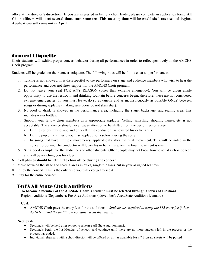office at the director's discretion. If you are interested in being a choir leader, please complete an application form. **All** Choir officers will meet several times each semester. This meeting time will be established once school begins. **Applications will come out in April.**

### Concert Etiquette

Choir students will exhibit proper concert behavior during all performances in order to reflect positively on the AMCHS Choir program.

Students will be graded on their concert etiquette. The following rules will be followed at all performances:

- 1. Talking is not allowed. It is disrespectful to the performers on stage and audience members who wish to hear the performance and does not show support for the AMCHS Choir program.
- 2. Do not leave your seat FOR ANY REASON (other than extreme emergency). You will be given ample opportunity to use the restroom and drinking fountain before concerts begin; therefore, these are not considered extreme emergencies. If you must leave, do so as quietly and as inconspicuously as possible ONLY between songs or during applause (making sure doors do not slam shut).
- 3. No food or drink is allowed in the performance area, including the stage, backstage, and seating area. This includes water bottles.
- 4. Support your fellow choir members with appropriate applause. Yelling, whistling, shouting names, etc. is not acceptable. The audience should never cause attention to be shifted from the performers on stage.
	- a. During serious music, applaud only after the conductor has lowered his or her arms.
	- b. During pop or jazz music you may applaud for a soloist during the song.
	- c. In songs that have multiple movements, applaud only after the final movement. This will be noted in the concert program. The conductor will lower his or her arms when the final movement is over.
- 5. Set a good example for the audience and other students. Other people may not know how to act at a choir concert and will be watching you for clues.
- 6. **Cell phones should be left in the choir office during the concert.**
- 7. Move between the stage and seating areas in quiet, single file lines. Sit in your assigned seat/row.
- 8. Enjoy the concert. This is the only time you will ever get to see it!
- 9. Stay for the entire concert.

### TMEA All-State Choir Auditions

To become a member of the All-State Choir, a student must be selected through a series of auditions:

Region Auditions (September); Pre-Area Auditions (November); Area/State Auditions (January)

#### **Cost:**

*●* AMCHS Choir pays the entry fees for the auditions. *Students are required to repay the \$15 entry fee if they do NOT attend the audition – no matter what the reason.*

#### **Sectionals**

- Sectionals will be held after school to rehearse All-State audition music.
- Sectionals begin the 1st Monday of school and continue until there are no more students left in the process or the process has ended.
- Individual rehearsals with a choir director will be offered on an "as available basis." Sign-up sheets will be posted.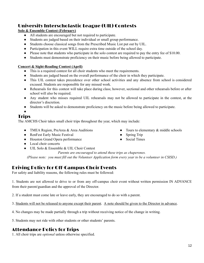### University Interscholastic League (UIL) Contests

### **Solo & Ensemble Contest (February)**

- All students are encouraged but not required to participate.
- Students are judged based on their individual or small group performance.
- Students choose classical songs from the Prescribed Music List put out by UIL.
- Participation in this event WILL require extra time outside of the school day.
- Please note that students who participate in the solo contest are required to pay the entry fee of \$10.00.
- Students must demonstrate proficiency on their music before being allowed to participate.

### **Concert & Sight-Reading Contest (April)**

- This is a required contest for all choir students who meet the requirements.
- Students are judged based on the overall performance of the choir in which they participate.
- This UIL contest takes precedence over other school activities and any absence from school is considered excused. Students are responsible for any missed work.
- Rehearsals for this contest will take place during class; however, sectional and other rehearsals before or after school will also be required.
- Any student who misses required UIL rehearsals may not be allowed to participate in the contest, at the director's discretion.
- Students will be asked to demonstrate proficiency on the music before being allowed to participate.

●

### **Trips**

The AMCHS Choir takes small choir trips throughout the year, which may include:

- TMEA Region, PreArea & Area Auditions
- RenFest Early Music Festival
- Houston Grand Opera performance
- Local choir concerts
- UIL Solo & Ensemble & UIL Choir Contest

*Parents are encouraged to attend these trips as chaperones.*

(Please note: you must fill out the Volunteer Application form every year to be a volunteer in CSISD.)

### Driving Policy for Off-Campus Choir Events

For safety and liability reasons, the following rules must be followed:

1. Students are not allowed to drive to or from any off-campus choir event without written permission IN ADVANCE from their parent/guardian and the approval of the Director.

2. If a student must come late or leave early, they are encouraged to do so with a parent.

3. Students will not be released to anyone except their parent. A note should be given to the Director in advance.

4. No changes may be made partially through a trip without receiving notice of the change in writing.

5. Students may not ride with other students or other students' parents.

### Attendance Policy for Trips

1. All choir trips are *optional* unless otherwise specified.

12

- $\bullet$  Tours to elementary  $\&$  middle schools
- Spring Trip
- Social Times
- 
-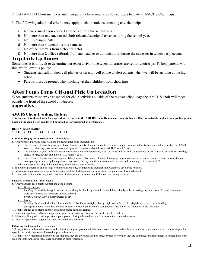2. Only AMCHS Choir members and their parent chaperones are allowed to participate in AMCHS Choir trips.

3. The following additional criteria may apply to choir students attending any choir trip:

- a. No unexcused choir concert absences during the school year.
- b. No more than one unexcused choir rehearsal/sectional absence during the school year.
- c. No ISS assignments
- d. No more than 4 detentions in a semester.
- e. No office referrals from a choir director.
- f. No more than 2 office referrals from any teacher or administrator during the semester in which a trip occurs.

### Trip Pick-Up Times

Sometimes it is difficult to determine our exact arrival time when itineraries are set for choir trips. To help parents with this, we follow this policy:

- Students can call on their cell phones or director cell phone to alert parents when we will be arriving at the high school.
- Parents must be prompt when picking up their children from choir trips.

### After Hours Drop-Off and Pick-Up Location

When students must arrive at school for choir activities outside of the regular school day, the AMCHS choir will meet outside the front of the school on Nueces.

#### Appendix A

#### AMCHS Choir Grading Rubric

This document is aligned with the expectations set forth in the AMCHS Choir Handbook. Choir students will be evaluated throughout each grading period **based on the scale below. Grades will be raised or lowered based on performance**.

#### **REHEARSAL GRADES**

 $5 = 100$   $4 = 80$   $3 = 60$   $2 = 40$   $1 = 20$ 

#### **Ensemble Singing and Participation** – The student:

5. Always participates and sings with good tone, technique and musicianship.

- The elements of *good tone* are: a centered, focused quality of sound, intonation, control, support, volume, intensity, blending within a section [with "tall" vowels], balancing between sections, and dynamic contrasts without distortion (UIL Forms 4 & 6).
- The elements of *good technique* are: pitch accuracy, rhythmic precision, vocal dexterity and flexibility, observance of ties, slurs and articulation markings, attack, release, fluency and diction (UIL Forms 4 & 6).
- The elements of *good musicianship* are: style, phrasing, observance of musical markings, appropriateness of dynamic contrasts, observance of tempo, note spacing, accents, rhythmic patterns, expression, fluency, and demonstration of a musical understanding (UIL Forms 4 & 6).
- 4. Usually participates and sings with good tone, technique and musicianship.
- 3. Sometimes participates and/or sings with inconsistent tone, technique and musicianship. Cellphone use during rehearsal.
- 2. Seldom participates and/or sings with inappropriate tone, technique and musicianship. Cellphone use during rehearsal.
- 1. Never participates and/or sings with poor tone, technique and musicianship. Cellphone use during rehearsal.

#### **Posture / Presentation** – The student:

5. Always applies good breath support and good posture.

**Breath Support** 

*Inhaling:* Expand the lungs down and out, pushing the diaphragm muscle down. Inhale silently without making any other noise. Expand your entire waistline, keeping the shoulders low and relaxed.

- *Breath Control:* Blow a steady stream of air.
- Posture

*Standing:* head level, shoulders low and relaxed, backbone straight, rib cage high, knees flexed, feet slightly apart, and music held high *Sitting:* head level, shoulders low and relaxed, rib cage high, backbone straight, both feet flat on the floor, and music held high.

- 4. Usually applies good breath support and good posture during rehearsal.
- 3. Sometimes applies good breath support and good posture during rehearsal, but has to be asked to do so.
- 2. Seldom applies good breath support and good posture during rehearsal and must be constantly reminded to do so.
- 1. Does not apply breath support and good posture during rehearsal.

#### **Following the Conductor –** The student:

5. Always follows rehearsal instructions the first time they are given, marks the score, corrects errors when they are addressed, and does not have to re-visit problem spots in the music that were addressed in prior rehearsals.

4. Usually follows rehearsal instructions the first time they are given, marks the score, corrects errors when they are addressed, and remembers to correct most of the problem spots in the music that were addressed in prior rehearsals.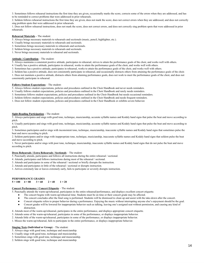3. Sometimes follows rehearsal instructions the first time they are given, occasionally marks the score, corrects some of the errors when they are addressed, and has to be reminded to correct problems that were addressed in prior rehearsals.

2. Seldom follows rehearsal instructions the first time they are given, does not mark the score, does not correct errors when they are addressed, and does not correctly sing problem spots that were addressed in prior rehearsals.

1. Does not follow rehearsal instructions, does not mark the score, does not correct errors, and does not correctly sing problem spots that were addressed in prior rehearsals.

#### **Rehearsal Materials –** The student:

- 5. Always brings necessary materials to rehearsals and sectionals (music, pencil, highlighter, etc.).
- 4. Usually brings necessary materials to rehearsals and sectionals.
- 3. Sometimes brings necessary materials to rehearsals and sectionals.
- 2. Seldom brings necessary materials to rehearsals and sectionals.
- 1. Never brings necessary materials to rehearsal and sectionals.

#### **Attitude / Contribution** – The student:

5. Always maintains a consistent positive attitude, participates in rehearsal, strives to attain the performance goals of the choir, and works well with others.

- 4. Usually has a positive attitude, participates in rehearsal, works to attain the performance goals of the choir, and works well with others.
- 3. Sometimes has a positive attitude, participates in rehearsal, works to attain the performance goals of the choir, and works well with others.

2. Seldom has a positive attitude, does not consistently participate in rehearsal, and occasionally distracts others from attaining the performance goals of the choir.

1. Does not maintain a positive attitude, distracts others from attaining performance goals, does not work to meet the performance goals of the choir, and does not consistently participate in rehearsal.

#### **Follows Student Expectations** – The student:

- 5. Always follows student expectations, policies and procedures outlined in the Choir Handbook and never needs reminders.
- 4. Usually follows student expectations, policies and procedures outlined in the Choir Handbook and rarely needs reminders.
- 3. Sometimes follows student expectations, policies and procedures outlined in the Choir Handbook but needs occasional reminders.
- 2. Seldom follows student expectations, policies and procedures outlined in the Choir Handbook and needs frequent reminders.
- 1. Does not follow student expectations, policies and procedures outlined in the Choir Handbook or exhibits severe behavior.

#### **Sight-Reading Participation –** The student:

5. Always participates and sings with good tone, technique, musicianship, accurate syllable names and Kodaly hand signs that pulse the beat and move according to pitch.

4. Usually participates and sings with good tone, technique, musicianship, accurate syllable names and Kodaly hand signs that pulse the beat and move according to pitch.

3. Sometimes participates and/or sings with inconsistent tone, technique, musicianship, inaccurate syllable names and Kodaly hand signs that sometimes pulse the beat and move according to pitch.

2. Seldom participates and/or sings with inappropriate tone, technique, musicianship, inaccurate syllable names and Kodaly hand signs that seldom pulse the beat and move according to pitch.

1. Never participates and/or sings with poor tone, technique, musicianship, inaccurate syllable names and Kodaly hand signs that do not pulse the beat and move according to pitch.

#### **Dress Rehearsals / Extra Rehearsals / Sectionals** – The student:

5. Punctually attends, participates and follows all instructions during the entire rehearsal / sectional.

- 4. Attends, participates and follows instructions during most of the rehearsal / sectional.
- 3. Attends and participates in some of the rehearsal / sectional or briefly disrupts the instruction.
- 2. Attends and participates in little of the rehearsal / sectional or disrupts instruction.
- 1. Arrives extremely late or leaves extremely early, fails to participate or severely disrupts instruction.

### **PERFORMANCE GRADES**<br>5 = 100 <br>4 = 80 <br>3 = 60

#### $5 = 100$   $4 = 80$   $3 = 60$   $2 = 40$   $1 = 20$

#### **Concert Performance / Concert Etiquette** – The student:

5. Punctually attends the warm-up/rehearsal, participates in the entire rehearsal/performance, and displays excellent concert etiquette.

- The concert begins with warm-up/rehearsal time. Students must be on time or their concert grade may be affected.
- The concert concludes after the final song is performed. Students will be dismissed to clean up and assist with the take-down after the concert.
- Concert etiquette refers to proper behavior during a performance. Enjoying the music without interrupting anyone else's enjoyment should be the goal.
- Concert grades will be lowered for inappropriate behavior such as talking, leaving one's assigned seat without permission, and causing any kind of distraction.
- 4. Attends most of the warm-up/rehearsal, participates in the entire performance, and displays appropriate concert etiquette.
- 3. Attends some of the warm-up/rehearsal, participates in some of the performance, or displays inappropriate behavior.
- 2. Attends little of the warm-up/rehearsal, participates in some of the performance, or displays inappropriate behavior.
- 1. Misses the warm-up/rehearsal, fails to participate in the entire performance, or displays inappropriate behavior.

#### **Singing Tests (Individual or Group)** – The student:

- 5. Always sings with good tone, technique and musicianship.
- 4. Usually sings with good tone, technique and musicianship.
- 3. Sometimes sings with good tone, technique and musicianship.
- 2. Seldom sings with good tone, technique and musicianship.